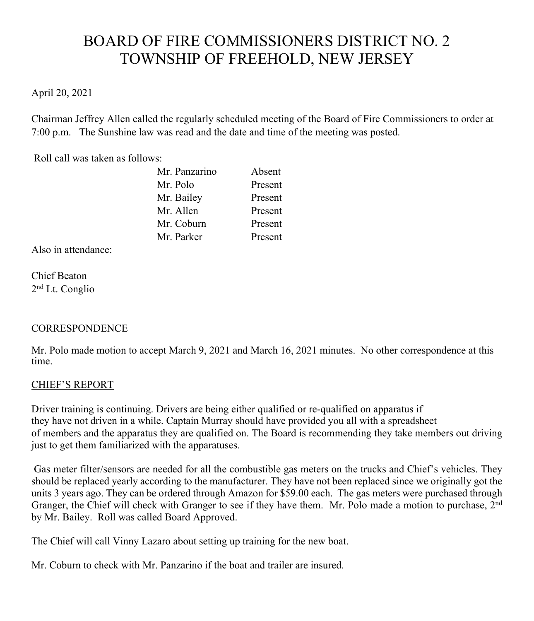# BOARD OF FIRE COMMISSIONERS DISTRICT NO. 2 TOWNSHIP OF FREEHOLD, NEW JERSEY

# April 20, 2021

Chairman Jeffrey Allen called the regularly scheduled meeting of the Board of Fire Commissioners to order at 7:00 p.m. The Sunshine law was read and the date and time of the meeting was posted.

Roll call was taken as follows:

| Mr. Panzarino | Absent  |
|---------------|---------|
| Mr. Polo      | Present |
| Mr. Bailey    | Present |
| Mr. Allen     | Present |
| Mr. Coburn    | Present |
| Mr. Parker    | Present |

Also in attendance:

Chief Beaton 2nd Lt. Conglio

# **CORRESPONDENCE**

Mr. Polo made motion to accept March 9, 2021 and March 16, 2021 minutes. No other correspondence at this time.

## CHIEF'S REPORT

Driver training is continuing. Drivers are being either qualified or re-qualified on apparatus if they have not driven in a while. Captain Murray should have provided you all with a spreadsheet of members and the apparatus they are qualified on. The Board is recommending they take members out driving just to get them familiarized with the apparatuses.

Gas meter filter/sensors are needed for all the combustible gas meters on the trucks and Chief's vehicles. They should be replaced yearly according to the manufacturer. They have not been replaced since we originally got the units 3 years ago. They can be ordered through Amazon for \$59.00 each. The gas meters were purchased through Granger, the Chief will check with Granger to see if they have them. Mr. Polo made a motion to purchase, 2nd by Mr. Bailey. Roll was called Board Approved.

The Chief will call Vinny Lazaro about setting up training for the new boat.

Mr. Coburn to check with Mr. Panzarino if the boat and trailer are insured.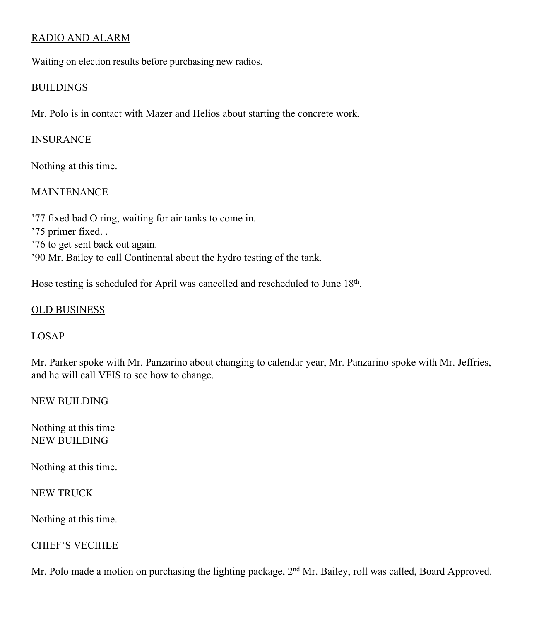# RADIO AND ALARM

Waiting on election results before purchasing new radios.

#### BUILDINGS

Mr. Polo is in contact with Mazer and Helios about starting the concrete work.

### INSURANCE

Nothing at this time.

## MAINTENANCE

'77 fixed bad O ring, waiting for air tanks to come in. '75 primer fixed. . '76 to get sent back out again. '90 Mr. Bailey to call Continental about the hydro testing of the tank.

Hose testing is scheduled for April was cancelled and rescheduled to June 18th.

## OLD BUSINESS

## LOSAP

Mr. Parker spoke with Mr. Panzarino about changing to calendar year, Mr. Panzarino spoke with Mr. Jeffries, and he will call VFIS to see how to change.

## NEW BUILDING

Nothing at this time NEW BUILDING

Nothing at this time.

#### NEW TRUCK

Nothing at this time.

## CHIEF'S VECIHLE

Mr. Polo made a motion on purchasing the lighting package, 2<sup>nd</sup> Mr. Bailey, roll was called, Board Approved.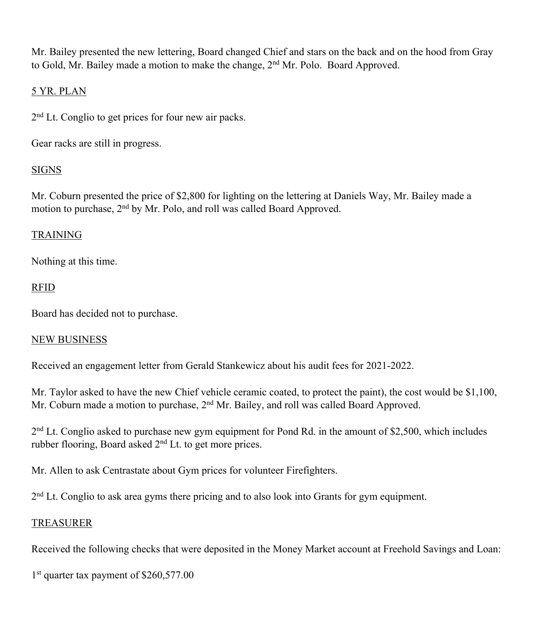Mr. Bailey presented the new lettering, Board changed Chief and stars on the back and on the hood from Gray to Gold, Mr. Bailey made a motion to make the change, 2<sup>nd</sup> Mr. Polo. Board Approved.

# 5 YR. PLAN

2<sup>nd</sup> Lt. Conglio to get prices for four new air packs.

Gear racks are still in progress.

# SIGNS

Mr. Coburn presented the price of \$2,800 for lighting on the lettering at Daniels Way, Mr. Bailey made a motion to purchase, 2nd by Mr. Polo, and roll was called Board Approved.

# TRAINING

Nothing at this time.

# RFID

Board has decided not to purchase.

## NEW BUSINESS

Received an engagement letter from Gerald Stankewicz about his audit fees for 2021-2022.

Mr. Taylor asked to have the new Chief vehicle ceramic coated, to protect the paint), the cost would be \$1,100, Mr. Coburn made a motion to purchase, 2<sup>nd</sup> Mr. Bailey, and roll was called Board Approved.

 $2<sup>nd</sup>$  Lt. Conglio asked to purchase new gym equipment for Pond Rd. in the amount of \$2,500, which includes rubber flooring, Board asked 2nd Lt. to get more prices.

Mr. Allen to ask Centrastate about Gym prices for volunteer Firefighters.

2<sup>nd</sup> Lt. Conglio to ask area gyms there pricing and to also look into Grants for gym equipment.

## TREASURER

Received the following checks that were deposited in the Money Market account at Freehold Savings and Loan:

1<sup>st</sup> quarter tax payment of \$260,577.00